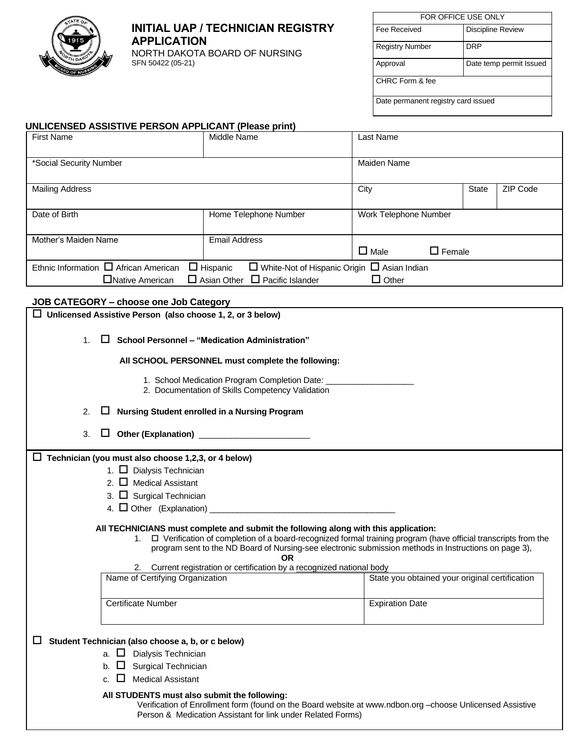

## **INITIAL UAP / TECHNICIAN REGISTRY APPLICATION**

NORTH DAKOTA BOARD OF NURSING SFN 50422 (05-21)

| FOR OFFICE USE ONLY                 |                          |  |  |  |  |
|-------------------------------------|--------------------------|--|--|--|--|
| Fee Received                        | <b>Discipline Review</b> |  |  |  |  |
| <b>Registry Number</b>              | <b>DRP</b>               |  |  |  |  |
| Date temp permit Issued<br>Approval |                          |  |  |  |  |
| CHRC Form & fee                     |                          |  |  |  |  |
| Date permanent registry card issued |                          |  |  |  |  |

### **UNLICENSED ASSISTIVE PERSON APPLICANT (Please print)**

| <b>First Name</b>                                                                                                                                                                                          | Middle Name           | Last Name             |               |          |  |
|------------------------------------------------------------------------------------------------------------------------------------------------------------------------------------------------------------|-----------------------|-----------------------|---------------|----------|--|
| *Social Security Number                                                                                                                                                                                    |                       | Maiden Name           |               |          |  |
| <b>Mailing Address</b>                                                                                                                                                                                     |                       | City                  | <b>State</b>  | ZIP Code |  |
| Date of Birth                                                                                                                                                                                              | Home Telephone Number | Work Telephone Number |               |          |  |
| Mother's Maiden Name                                                                                                                                                                                       | <b>Email Address</b>  | $\Box$ Male           | $\Box$ Female |          |  |
| Ethnic Information $\Box$ African American<br>$\Box$ White-Not of Hispanic Origin $\Box$ Asian Indian<br>$\Box$ Hispanic<br>$\Box$ Asian Other $\Box$ Pacific Islander<br>□Native American<br>$\Box$ Other |                       |                       |               |          |  |

### **JOB CATEGORY – choose one Job Category**

| Unlicensed Assistive Person (also choose 1, 2, or 3 below)                                                                                                                                                                                                                                                                             |                                                |  |  |  |  |
|----------------------------------------------------------------------------------------------------------------------------------------------------------------------------------------------------------------------------------------------------------------------------------------------------------------------------------------|------------------------------------------------|--|--|--|--|
| П<br>School Personnel - "Medication Administration"<br>$1_{-}$                                                                                                                                                                                                                                                                         |                                                |  |  |  |  |
| All SCHOOL PERSONNEL must complete the following:                                                                                                                                                                                                                                                                                      |                                                |  |  |  |  |
| 1. School Medication Program Completion Date: __<br>2. Documentation of Skills Competency Validation                                                                                                                                                                                                                                   |                                                |  |  |  |  |
| Nursing Student enrolled in a Nursing Program<br>2.                                                                                                                                                                                                                                                                                    |                                                |  |  |  |  |
| 3.                                                                                                                                                                                                                                                                                                                                     |                                                |  |  |  |  |
| $\Box$ Technician (you must also choose 1,2,3, or 4 below)                                                                                                                                                                                                                                                                             |                                                |  |  |  |  |
| 1. Dialysis Technician                                                                                                                                                                                                                                                                                                                 |                                                |  |  |  |  |
| 2. $\Box$ Medical Assistant                                                                                                                                                                                                                                                                                                            |                                                |  |  |  |  |
| 3. $\Box$ Surgical Technician                                                                                                                                                                                                                                                                                                          |                                                |  |  |  |  |
|                                                                                                                                                                                                                                                                                                                                        |                                                |  |  |  |  |
| All TECHNICIANS must complete and submit the following along with this application:<br>$\Box$ Verification of completion of a board-recognized formal training program (have official transcripts from the<br>1.<br>program sent to the ND Board of Nursing-see electronic submission methods in Instructions on page 3),<br><b>OR</b> |                                                |  |  |  |  |
| 2. Current registration or certification by a recognized national body<br>Name of Certifying Organization                                                                                                                                                                                                                              | State you obtained your original certification |  |  |  |  |
|                                                                                                                                                                                                                                                                                                                                        |                                                |  |  |  |  |
| <b>Certificate Number</b>                                                                                                                                                                                                                                                                                                              | <b>Expiration Date</b>                         |  |  |  |  |
| Student Technician (also choose a, b, or c below)<br>ш                                                                                                                                                                                                                                                                                 |                                                |  |  |  |  |
| a. $\Box$ Dialysis Technician                                                                                                                                                                                                                                                                                                          |                                                |  |  |  |  |
| $\Box$ Surgical Technician                                                                                                                                                                                                                                                                                                             |                                                |  |  |  |  |
| $\Box$ Medical Assistant<br>C.                                                                                                                                                                                                                                                                                                         |                                                |  |  |  |  |
| All STUDENTS must also submit the following:<br>Verification of Enrollment form (found on the Board website at www.ndbon.org -choose Unlicensed Assistive<br>Person & Medication Assistant for link under Related Forms)                                                                                                               |                                                |  |  |  |  |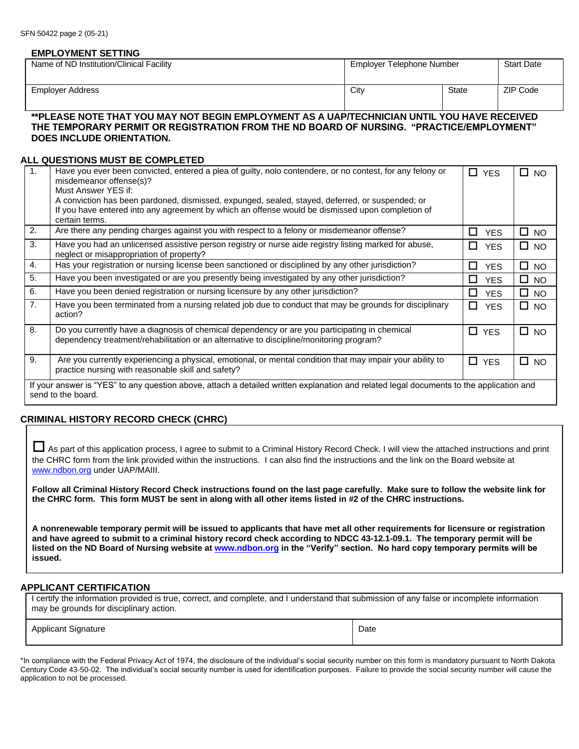#### **EMPLOYMENT SETTING**

| Name of ND Institution/Clinical Facility                                                    | Employer Telephone Number |       | <b>Start Date</b> |
|---------------------------------------------------------------------------------------------|---------------------------|-------|-------------------|
|                                                                                             |                           |       |                   |
| Employer Address                                                                            | City                      | State | ZIP Code          |
|                                                                                             |                           |       |                   |
| **PLEASE NOTE THAT YOU MAY NOT BEGIN EMPLOYMENT AS A UAP/TECHNICIAN UNTIL YOU HAVE RECEIVED |                           |       |                   |

## **THE TEMPORARY PERMIT OR REGISTRATION FROM THE ND BOARD OF NURSING. "PRACTICE/EMPLOYMENT" DOES INCLUDE ORIENTATION.**

#### **ALL QUESTIONS MUST BE COMPLETED**

| 1 <sub>1</sub>                                                                                                                                                | Have you ever been convicted, entered a plea of guilty, nolo contendere, or no contest, for any felony or<br>misdemeanor offense(s)?                                                     | 0.<br><b>YES</b> | П.<br><b>NO</b> |  |
|---------------------------------------------------------------------------------------------------------------------------------------------------------------|------------------------------------------------------------------------------------------------------------------------------------------------------------------------------------------|------------------|-----------------|--|
|                                                                                                                                                               | Must Answer YES if:                                                                                                                                                                      |                  |                 |  |
|                                                                                                                                                               | A conviction has been pardoned, dismissed, expunged, sealed, stayed, deferred, or suspended; or                                                                                          |                  |                 |  |
|                                                                                                                                                               | If you have entered into any agreement by which an offense would be dismissed upon completion of                                                                                         |                  |                 |  |
|                                                                                                                                                               | certain terms.                                                                                                                                                                           |                  |                 |  |
| 2.                                                                                                                                                            | Are there any pending charges against you with respect to a felony or misdemeanor offense?                                                                                               | П<br><b>YES</b>  | $\square$ NO    |  |
| 3.                                                                                                                                                            | Have you had an unlicensed assistive person registry or nurse aide registry listing marked for abuse,<br>neglect or misappropriation of property?                                        | П<br><b>YES</b>  | $\square$ NO    |  |
| 4.                                                                                                                                                            | Has your registration or nursing license been sanctioned or disciplined by any other jurisdiction?                                                                                       | □<br><b>YES</b>  | □<br><b>NO</b>  |  |
| 5.                                                                                                                                                            | Have you been investigated or are you presently being investigated by any other jurisdiction?                                                                                            | п<br><b>YES</b>  | $\square$ NO    |  |
| 6.                                                                                                                                                            | Have you been denied registration or nursing licensure by any other jurisdiction?                                                                                                        | П<br><b>YES</b>  | $\square$ NO    |  |
| 7 <sub>1</sub>                                                                                                                                                | Have you been terminated from a nursing related job due to conduct that may be grounds for disciplinary<br>action?                                                                       | П.<br><b>YES</b> | $\square$ NO    |  |
| 8.                                                                                                                                                            | Do you currently have a diagnosis of chemical dependency or are you participating in chemical<br>dependency treatment/rehabilitation or an alternative to discipline/monitoring program? | □<br><b>YES</b>  | □<br><b>NO</b>  |  |
| 9.                                                                                                                                                            | Are you currently experiencing a physical, emotional, or mental condition that may impair your ability to<br>practice nursing with reasonable skill and safety?                          | П.<br><b>YES</b> | П<br><b>NO</b>  |  |
| If your answer is "YES" to any question above, attach a detailed written explanation and related legal documents to the application and<br>send to the board. |                                                                                                                                                                                          |                  |                 |  |

### **CRIMINAL HISTORY RECORD CHECK (CHRC)**

 As part of this application process, I agree to submit to a Criminal History Record Check. I will view the attached instructions and print the CHRC form from the link provided within the instructions. I can also find the instructions and the link on the Board website at [www.ndbon.org](http://www.ndbon.org/) under UAP/MAIII.

**Follow all Criminal History Record Check instructions found on the last page carefully. Make sure to follow the website link for the CHRC form. This form MUST be sent in along with all other items listed in #2 of the CHRC instructions.**

**A nonrenewable temporary permit will be issued to applicants that have met all other requirements for licensure or registration and have agreed to submit to a criminal history record check according to NDCC 43-12.1-09.1. The temporary permit will be listed on the ND Board of Nursing website at [www.ndbon.org](http://www.ndbon.org/) in the "Verify" section. No hard copy temporary permits will be issued.** 

#### **APPLICANT CERTIFICATION**

I certify the information provided is true, correct, and complete, and I understand that submission of any false or incomplete information may be grounds for disciplinary action.

Applicant Signature Date Date of the Date of the Date of Date Date of Date Date of Date Date of Date of Date of Date of Date of Date of Date of Date of Date of Date of Date of Date of Date of Date of Date of Date of Date o

\*In compliance with the Federal Privacy Act of 1974, the disclosure of the individual's social security number on this form is mandatory pursuant to North Dakota Century Code 43-50-02. The individual's social security number is used for identification purposes. Failure to provide the social security number will cause the application to not be processed.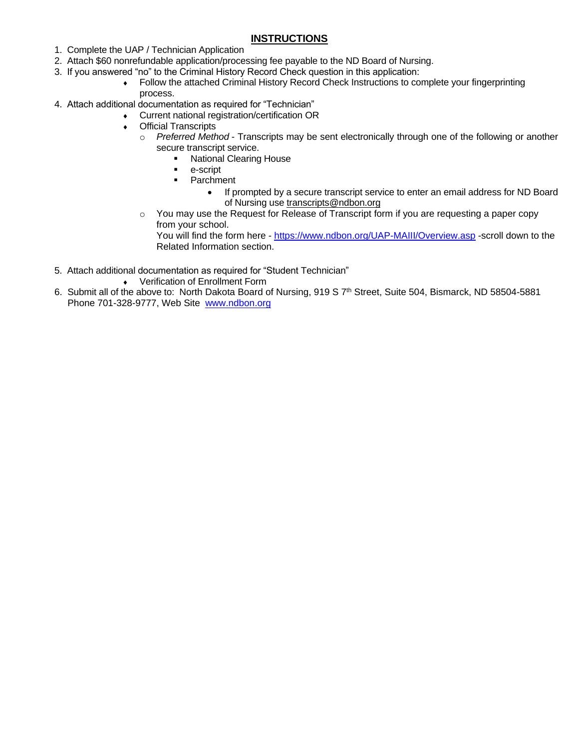## **INSTRUCTIONS**

- 1. Complete the UAP / Technician Application
- 2. Attach \$60 nonrefundable application/processing fee payable to the ND Board of Nursing.
- 3. If you answered "no" to the Criminal History Record Check question in this application:
	- Follow the attached Criminal History Record Check Instructions to complete your fingerprinting process.
- 4. Attach additional documentation as required for "Technician"
	- Current national registration/certification OR
		- Official Transcripts
			- o *Preferred Method* Transcripts may be sent electronically through one of the following or another secure transcript service.
				- National Clearing House
				- e-script
				- Parchment
					- If prompted by a secure transcript service to enter an email address for ND Board of Nursing use [transcripts@ndbon.org](mailto:transcripts@ndbon.org)
			- $\circ$  You may use the Request for Release of Transcript form if you are requesting a paper copy from your school.

You will find the form here - <https://www.ndbon.org/UAP-MAIII/Overview.asp> -scroll down to the Related Information section.

- 5. Attach additional documentation as required for "Student Technician"
	- Verification of Enrollment Form
- 6. Submit all of the above to: North Dakota Board of Nursing, 919 S 7<sup>th</sup> Street, Suite 504, Bismarck, ND 58504-5881 Phone 701-328-9777, Web Site [www.ndbon.org](http://www.ndbon.org/)